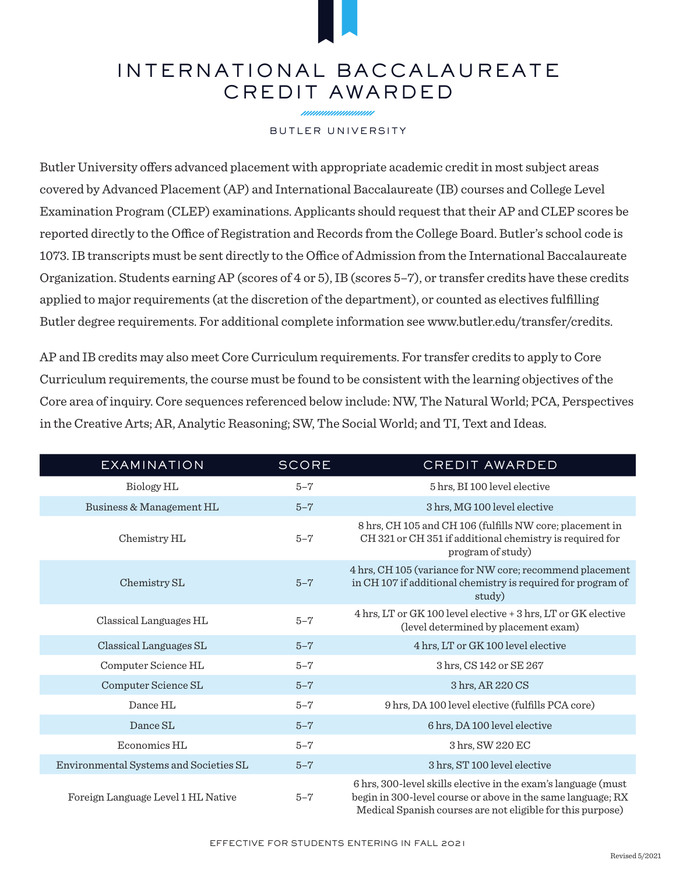## INTERNATIONAL BACCALAUREATE CREDIT AWARDED

nnnnnnnnnnn

## BUTLER UNIVERSITY

Butler University offers advanced placement with appropriate academic credit in most subject areas covered by Advanced Placement (AP) and International Baccalaureate (IB) courses and College Level Examination Program (CLEP) examinations. Applicants should request that their AP and CLEP scores be reported directly to the Office of Registration and Records from the College Board. Butler's school code is 1073. IB transcripts must be sent directly to the Office of Admission from the International Baccalaureate Organization. Students earning AP (scores of 4 or 5), IB (scores 5–7), or transfer credits have these credits applied to major requirements (at the discretion of the department), or counted as electives fulfilling Butler degree requirements. For additional complete information see www.butler.edu/transfer/credits.

AP and IB credits may also meet Core Curriculum requirements. For transfer credits to apply to Core Curriculum requirements, the course must be found to be consistent with the learning objectives of the Core area of inquiry. Core sequences referenced below include: NW, The Natural World; PCA, Perspectives in the Creative Arts; AR, Analytic Reasoning; SW, The Social World; and TI, Text and Ideas.

| <b>EXAMINATION</b>                     | <b>SCORE</b> | <b>CREDIT AWARDED</b>                                                                                                                                                                      |
|----------------------------------------|--------------|--------------------------------------------------------------------------------------------------------------------------------------------------------------------------------------------|
| Biology HL                             | $5 - 7$      | 5 hrs, BI 100 level elective                                                                                                                                                               |
| Business & Management HL               | $5 - 7$      | 3 hrs, MG 100 level elective                                                                                                                                                               |
| Chemistry HL                           | $5 - 7$      | 8 hrs, CH 105 and CH 106 (fulfills NW core; placement in<br>CH 321 or CH 351 if additional chemistry is required for<br>program of study)                                                  |
| Chemistry SL                           | $5 - 7$      | 4 hrs, CH 105 (variance for NW core; recommend placement<br>in CH 107 if additional chemistry is required for program of<br>study)                                                         |
| Classical Languages HL                 | $5 - 7$      | 4 hrs, LT or GK 100 level elective + 3 hrs, LT or GK elective<br>(level determined by placement exam)                                                                                      |
| Classical Languages SL                 | $5 - 7$      | 4 hrs, LT or GK 100 level elective                                                                                                                                                         |
| Computer Science HL                    | $5 - 7$      | 3 hrs, CS 142 or SE 267                                                                                                                                                                    |
| Computer Science SL                    | $5 - 7$      | 3 hrs, AR 220 CS                                                                                                                                                                           |
| Dance HL                               | $5 - 7$      | 9 hrs, DA 100 level elective (fulfills PCA core)                                                                                                                                           |
| Dance SL                               | $5 - 7$      | 6 hrs, DA 100 level elective                                                                                                                                                               |
| Economics HL                           | $5 - 7$      | 3 hrs, SW 220 EC                                                                                                                                                                           |
| Environmental Systems and Societies SL | $5 - 7$      | 3 hrs, ST 100 level elective                                                                                                                                                               |
| Foreign Language Level 1 HL Native     | $5 - 7$      | 6 hrs, 300-level skills elective in the exam's language (must<br>begin in 300-level course or above in the same language; RX<br>Medical Spanish courses are not eligible for this purpose) |